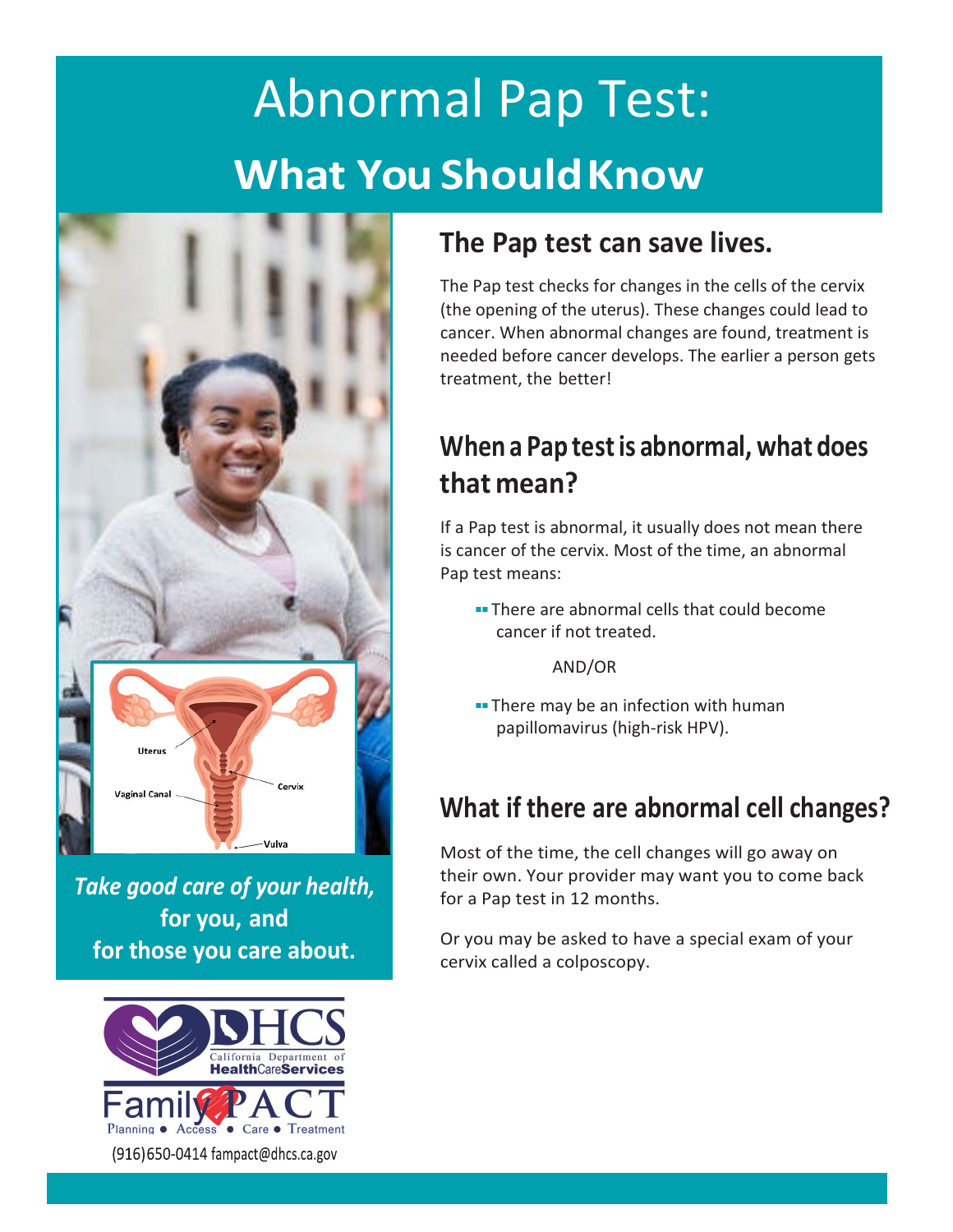# Abnormal Pap Test: **What You ShouldKnow**



*Take good care of your health,* **for you, and for those you care about.**



#### **The Pap test can save lives.**

The Pap test checks for changes in the cells of the cervix (the opening of the uterus). These changes could lead to cancer. When abnormal changes are found, treatment is needed before cancer develops. The earlier a person gets treatment, the better!

### **When a Pap testis abnormal, what does that mean?**

If a Pap test is abnormal, it usually does not mean there is cancer of the cervix. Most of the time, an abnormal Pap test means:

■■ There are abnormal cells that could become cancer if not treated.

AND/OR

■■ There may be an infection with human papillomavirus (high-risk HPV).

# **What if there are abnormal cell changes?**

Most of the time, the cell changes will go away on their own. Your provider may want you to come back for a Pap test in 12 months.

Or you may be asked to have a special exam of your cervix called a colposcopy.